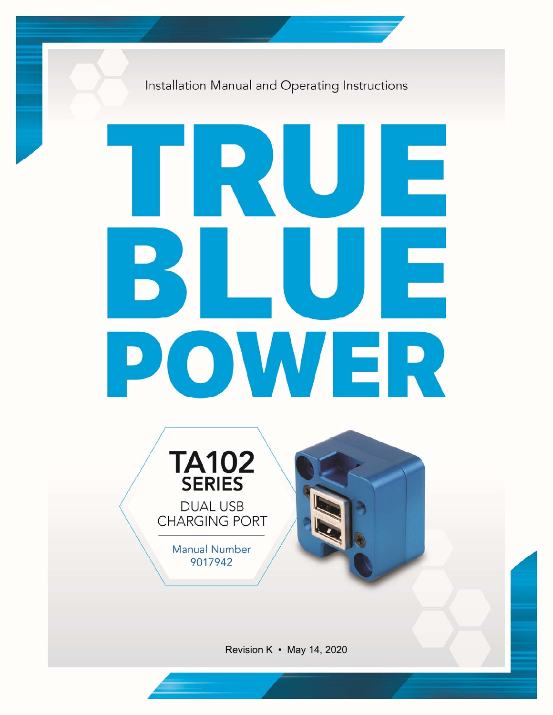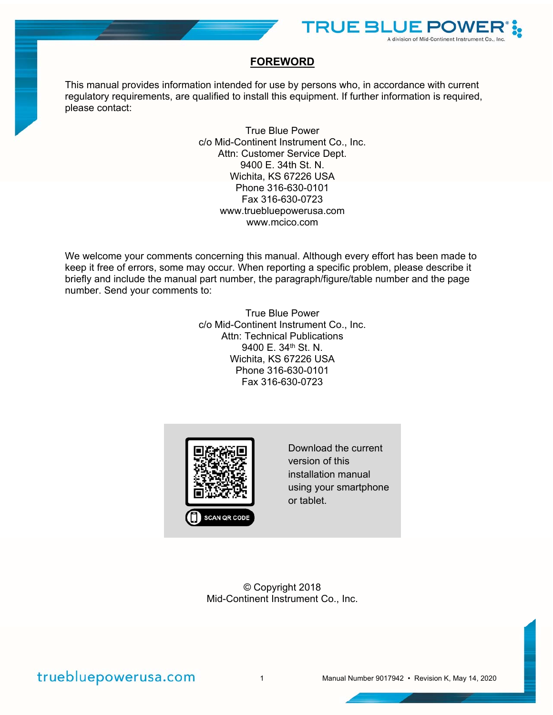

#### **FOREWORD**

This manual provides information intended for use by persons who, in accordance with current regulatory requirements, are qualified to install this equipment. If further information is required, please contact:

> True Blue Power c/o Mid-Continent Instrument Co., Inc. Attn: Customer Service Dept. 9400 E. 34th St. N. Wichita, KS 67226 USA Phone 316-630-0101 Fax 316-630-0723 www.truebluepowerusa.com www.mcico.com

We welcome your comments concerning this manual. Although every effort has been made to keep it free of errors, some may occur. When reporting a specific problem, please describe it briefly and include the manual part number, the paragraph/figure/table number and the page number. Send your comments to:

> True Blue Power c/o Mid-Continent Instrument Co., Inc. Attn: Technical Publications 9400 E. 34<sup>th</sup> St. N. Wichita, KS 67226 USA Phone 316-630-0101 Fax 316-630-0723



Download the current version of this installation manual using your smartphone or tablet.

© Copyright 2018 Mid-Continent Instrument Co., Inc.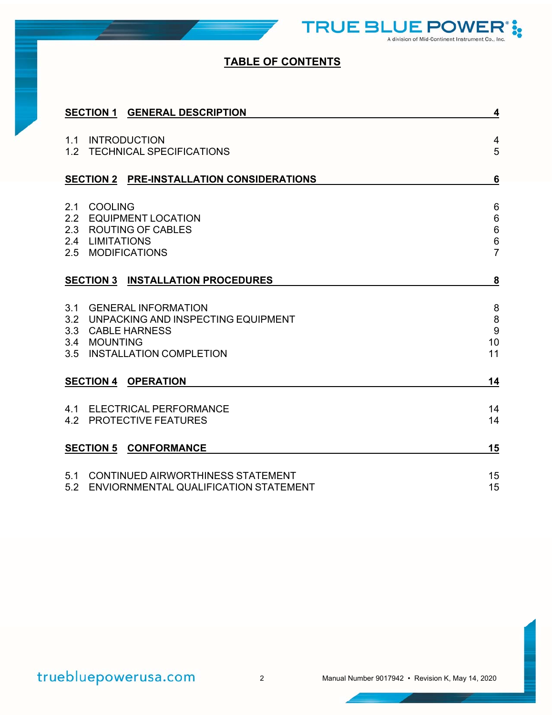**TRUE BLUE POWE** A division of Mid-Continent Instrument Co., Inc.

**i** 

## **TABLE OF CONTENTS**

| <b>SECTION 1 GENERAL DESCRIPTION</b>                                                                                                               | 4                                                                      |
|----------------------------------------------------------------------------------------------------------------------------------------------------|------------------------------------------------------------------------|
| <b>INTRODUCTION</b><br>1.1<br>1.2 TECHNICAL SPECIFICATIONS                                                                                         | 4<br>5                                                                 |
| SECTION 2 PRE-INSTALLATION CONSIDERATIONS                                                                                                          | $6\phantom{1}6$                                                        |
| <b>COOLING</b><br>2.1<br>2.2 EQUIPMENT LOCATION<br>2.3 ROUTING OF CABLES<br>2.4 LIMITATIONS<br>2.5<br><b>MODIFICATIONS</b>                         | $\,6\,$<br>$\,6\,$<br>$\,6\,$<br>$\begin{array}{c} 6 \\ 7 \end{array}$ |
| <b>SECTION 3 INSTALLATION PROCEDURES</b>                                                                                                           | $\overline{\mathbf{8}}$                                                |
| 3.1<br><b>GENERAL INFORMATION</b><br>UNPACKING AND INSPECTING EQUIPMENT<br>3.2<br>3.3 CABLE HARNESS<br>3.4 MOUNTING<br>3.5 INSTALLATION COMPLETION | $\bf 8$<br>$\,8\,$<br>9<br>10<br>11                                    |
| <b>SECTION 4 OPERATION</b>                                                                                                                         | 14                                                                     |
| 4.1 ELECTRICAL PERFORMANCE<br>4.2 PROTECTIVE FEATURES                                                                                              | 14<br>14                                                               |
| <b>SECTION 5 CONFORMANCE</b>                                                                                                                       | 15                                                                     |
| <b>CONTINUED AIRWORTHINESS STATEMENT</b><br>5.1<br>ENVIORNMENTAL QUALIFICATION STATEMENT<br>5.2                                                    | 15<br>15                                                               |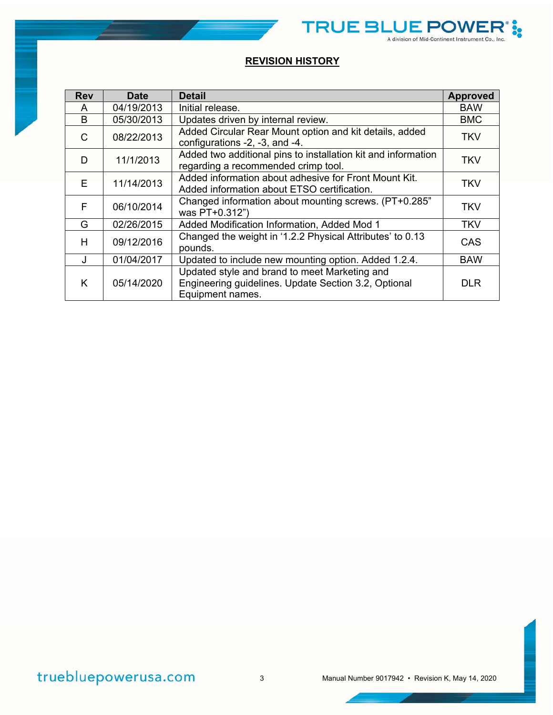|--|

TRUE BLUE POWER

**i** 

| <b>Rev</b> | <b>Date</b> | Detail                                                                                                                    | <b>Approved</b> |
|------------|-------------|---------------------------------------------------------------------------------------------------------------------------|-----------------|
| A          | 04/19/2013  | Initial release.                                                                                                          | <b>BAW</b>      |
| B          | 05/30/2013  | Updates driven by internal review.                                                                                        | <b>BMC</b>      |
| C.         | 08/22/2013  | Added Circular Rear Mount option and kit details, added<br>configurations -2, -3, and -4.                                 | <b>TKV</b>      |
| D          | 11/1/2013   | Added two additional pins to installation kit and information<br>regarding a recommended crimp tool.                      | <b>TKV</b>      |
| F.         | 11/14/2013  | Added information about adhesive for Front Mount Kit.<br>Added information about ETSO certification.                      | <b>TKV</b>      |
| F          | 06/10/2014  | Changed information about mounting screws. (PT+0.285"<br>was PT+0.312")                                                   | <b>TKV</b>      |
| G          | 02/26/2015  | Added Modification Information, Added Mod 1                                                                               | <b>TKV</b>      |
| н          | 09/12/2016  | Changed the weight in '1.2.2 Physical Attributes' to 0.13<br>pounds.                                                      | CAS             |
| $\cdot$    | 01/04/2017  | Updated to include new mounting option. Added 1.2.4.                                                                      | <b>BAW</b>      |
| K          | 05/14/2020  | Updated style and brand to meet Marketing and<br>Engineering guidelines. Update Section 3.2, Optional<br>Equipment names. | <b>DLR</b>      |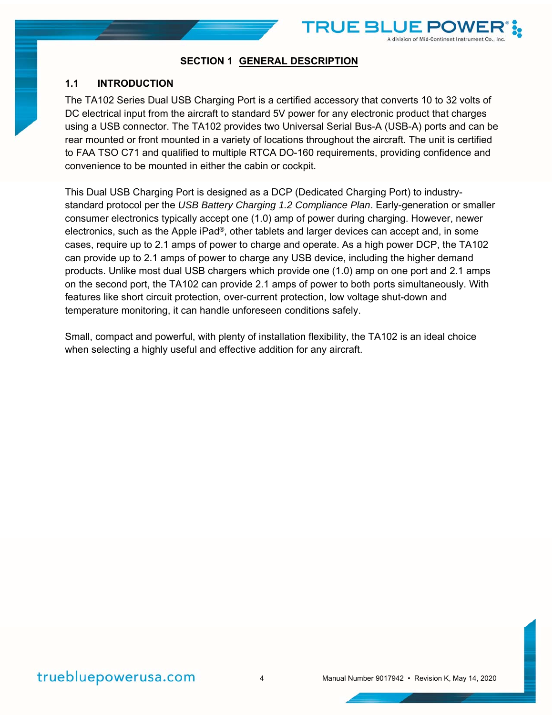

TRUE BI

A division of Mid-Continent Instrument Co., Inc.

#### **1.1 INTRODUCTION**

The TA102 Series Dual USB Charging Port is a certified accessory that converts 10 to 32 volts of DC electrical input from the aircraft to standard 5V power for any electronic product that charges using a USB connector. The TA102 provides two Universal Serial Bus-A (USB-A) ports and can be rear mounted or front mounted in a variety of locations throughout the aircraft. The unit is certified to FAA TSO C71 and qualified to multiple RTCA DO-160 requirements, providing confidence and convenience to be mounted in either the cabin or cockpit.

This Dual USB Charging Port is designed as a DCP (Dedicated Charging Port) to industrystandard protocol per the *USB Battery Charging 1.2 Compliance Plan*. Early-generation or smaller consumer electronics typically accept one (1.0) amp of power during charging. However, newer electronics, such as the Apple iPad®, other tablets and larger devices can accept and, in some cases, require up to 2.1 amps of power to charge and operate. As a high power DCP, the TA102 can provide up to 2.1 amps of power to charge any USB device, including the higher demand products. Unlike most dual USB chargers which provide one (1.0) amp on one port and 2.1 amps on the second port, the TA102 can provide 2.1 amps of power to both ports simultaneously. With features like short circuit protection, over-current protection, low voltage shut-down and temperature monitoring, it can handle unforeseen conditions safely.

Small, compact and powerful, with plenty of installation flexibility, the TA102 is an ideal choice when selecting a highly useful and effective addition for any aircraft.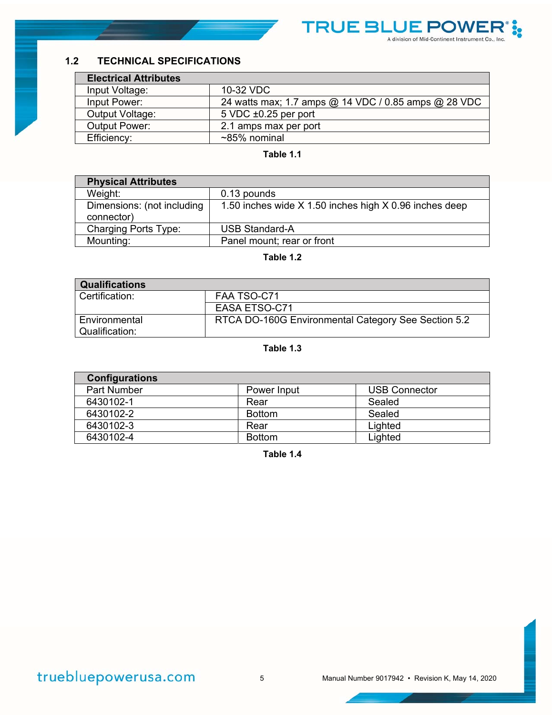

## **1.2 TECHNICAL SPECIFICATIONS**

| <b>Electrical Attributes</b> |                                                      |
|------------------------------|------------------------------------------------------|
| Input Voltage:               | 10-32 VDC                                            |
| Input Power:                 | 24 watts max; 1.7 amps @ 14 VDC / 0.85 amps @ 28 VDC |
| Output Voltage:              | $5$ VDC $\pm 0.25$ per port                          |
| <b>Output Power:</b>         | 2.1 amps max per port                                |
| Efficiency:                  | $~85\%$ nominal                                      |

#### **Table 1.1**

| <b>Physical Attributes</b>               |                                                        |
|------------------------------------------|--------------------------------------------------------|
| Weight:                                  | 0.13 pounds                                            |
| Dimensions: (not including<br>connector) | 1.50 inches wide X 1.50 inches high X 0.96 inches deep |
| <b>Charging Ports Type:</b>              | <b>USB Standard-A</b>                                  |
| Mounting:                                | Panel mount; rear or front                             |

#### **Table 1.2**

| <b>Qualifications</b> |                                                     |
|-----------------------|-----------------------------------------------------|
| Certification:        | FAA TSO-C71                                         |
|                       | EASA ETSO-C71                                       |
| Environmental         | RTCA DO-160G Environmental Category See Section 5.2 |
| Qualification:        |                                                     |

#### **Table 1.3**

| <b>Configurations</b> |               |                      |
|-----------------------|---------------|----------------------|
| <b>Part Number</b>    | Power Input   | <b>USB Connector</b> |
| 6430102-1             | Rear          | Sealed               |
| 6430102-2             | <b>Bottom</b> | Sealed               |
| 6430102-3             | Rear          | Lighted              |
| 6430102-4             | <b>Bottom</b> | Lighted              |

**Table 1.4**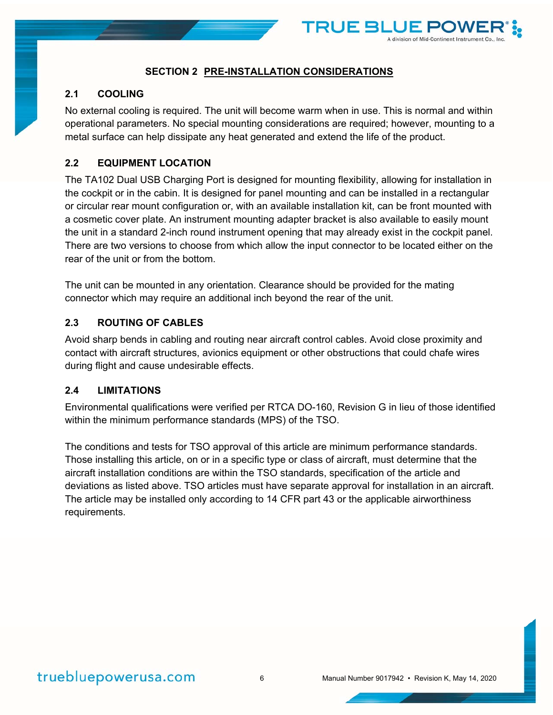

#### **SECTION 2 PRE-INSTALLATION CONSIDERATIONS**

#### **2.1 COOLING**

No external cooling is required. The unit will become warm when in use. This is normal and within operational parameters. No special mounting considerations are required; however, mounting to a metal surface can help dissipate any heat generated and extend the life of the product.

### **2.2 EQUIPMENT LOCATION**

The TA102 Dual USB Charging Port is designed for mounting flexibility, allowing for installation in the cockpit or in the cabin. It is designed for panel mounting and can be installed in a rectangular or circular rear mount configuration or, with an available installation kit, can be front mounted with a cosmetic cover plate. An instrument mounting adapter bracket is also available to easily mount the unit in a standard 2-inch round instrument opening that may already exist in the cockpit panel. There are two versions to choose from which allow the input connector to be located either on the rear of the unit or from the bottom.

The unit can be mounted in any orientation. Clearance should be provided for the mating connector which may require an additional inch beyond the rear of the unit.

#### **2.3 ROUTING OF CABLES**

Avoid sharp bends in cabling and routing near aircraft control cables. Avoid close proximity and contact with aircraft structures, avionics equipment or other obstructions that could chafe wires during flight and cause undesirable effects.

#### **2.4 LIMITATIONS**

Environmental qualifications were verified per RTCA DO-160, Revision G in lieu of those identified within the minimum performance standards (MPS) of the TSO.

The conditions and tests for TSO approval of this article are minimum performance standards. Those installing this article, on or in a specific type or class of aircraft, must determine that the aircraft installation conditions are within the TSO standards, specification of the article and deviations as listed above. TSO articles must have separate approval for installation in an aircraft. The article may be installed only according to 14 CFR part 43 or the applicable airworthiness requirements.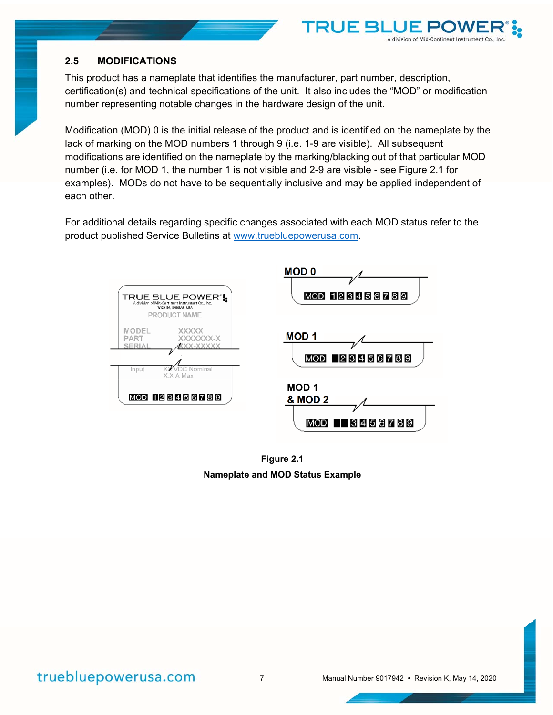#### **2.5 MODIFICATIONS**

This product has a nameplate that identifies the manufacturer, part number, description, certification(s) and technical specifications of the unit. It also includes the "MOD" or modification number representing notable changes in the hardware design of the unit.

TRUE BI

A division of Mid-Continent Instrument Co., Inc.

Modification (MOD) 0 is the initial release of the product and is identified on the nameplate by the lack of marking on the MOD numbers 1 through 9 (i.e. 1-9 are visible). All subsequent modifications are identified on the nameplate by the marking/blacking out of that particular MOD number (i.e. for MOD 1, the number 1 is not visible and 2-9 are visible - see Figure 2.1 for examples). MODs do not have to be sequentially inclusive and may be applied independent of each other.

For additional details regarding specific changes associated with each MOD status refer to the product published Service Bulletins at www.truebluepowerusa.com.



**Figure 2.1 Nameplate and MOD Status Example** 

truebluepowerusa.com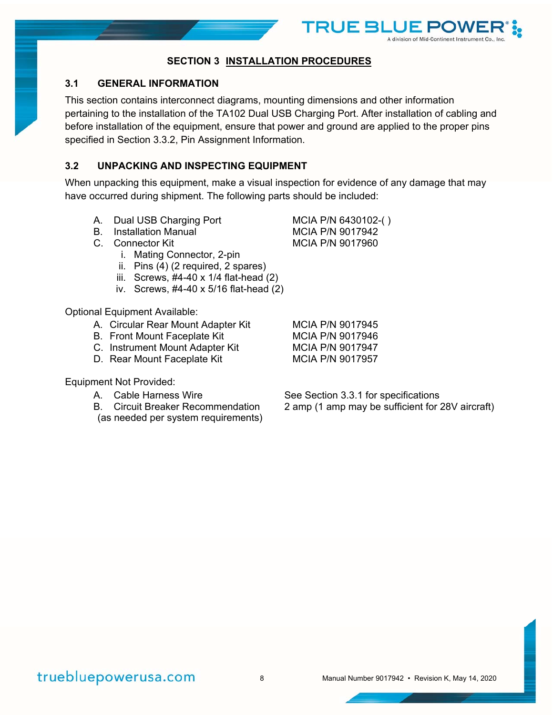

TRUE BI

## **SECTION 3 INSTALLATION PROCEDURES**

### **3.1 GENERAL INFORMATION**

This section contains interconnect diagrams, mounting dimensions and other information pertaining to the installation of the TA102 Dual USB Charging Port. After installation of cabling and before installation of the equipment, ensure that power and ground are applied to the proper pins specified in Section 3.3.2, Pin Assignment Information.

## **3.2 UNPACKING AND INSPECTING EQUIPMENT**

When unpacking this equipment, make a visual inspection for evidence of any damage that may have occurred during shipment. The following parts should be included:

- A. Dual USB Charging Port MCIA P/N 6430102-()
- B. Installation Manual MCIA P/N 9017942
- C. Connector Kit MCIA P/N 9017960
	- i. Mating Connector, 2-pin
	- ii. Pins (4) (2 required, 2 spares)
	- iii. Screws, #4-40 x 1/4 flat-head (2)
	- iv. Screws, #4-40 x 5/16 flat-head (2)

Optional Equipment Available:

- A. Circular Rear Mount Adapter Kit MCIA P/N 9017945
- B. Front Mount Faceplate Kit MCIA P/N 9017946
- C. Instrument Mount Adapter Kit MCIA P/N 9017947
- D. Rear Mount Faceplate Kit MCIA P/N 9017957

Equipment Not Provided:

- 
- (as needed per system requirements)

A. Cable Harness Wire See Section 3.3.1 for specifications B. Circuit Breaker Recommendation 2 amp (1 amp may be sufficient for 28V aircraft)

# truebluepowerusa.com

8 Manual Number 9017942 • Revision K, May 14, 2020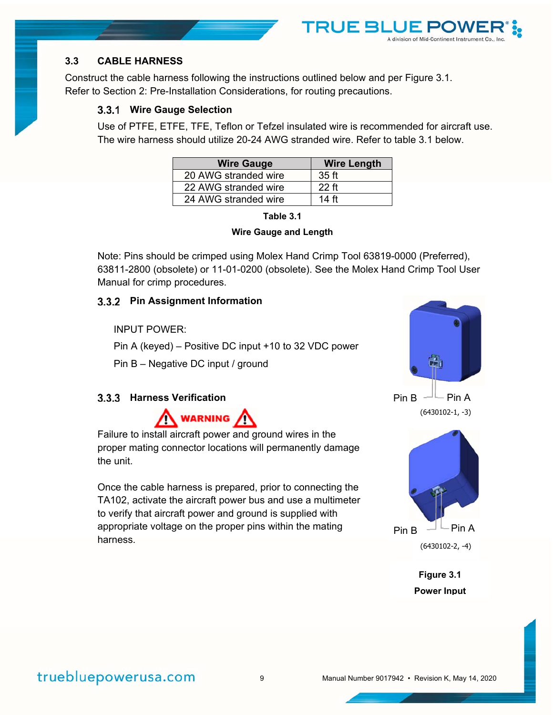## **3.3 CABLE HARNESS**

Construct the cable harness following the instructions outlined below and per Figure 3.1. Refer to Section 2: Pre-Installation Considerations, for routing precautions.

#### **Wire Gauge Selection**

Use of PTFE, ETFE, TFE, Teflon or Tefzel insulated wire is recommended for aircraft use. The wire harness should utilize 20-24 AWG stranded wire. Refer to table 3.1 below.

**TRUE BI** 

| <b>Wire Gauge</b>    | <b>Wire Length</b> |
|----------------------|--------------------|
| 20 AWG stranded wire | 35 ft              |
| 22 AWG stranded wire | 22 ft              |
| 24 AWG stranded wire | 14 ft              |

| Table 3. |  |
|----------|--|
|          |  |



Note: Pins should be crimped using Molex Hand Crimp Tool 63819-0000 (Preferred), 63811-2800 (obsolete) or 11-01-0200 (obsolete). See the Molex Hand Crimp Tool User Manual for crimp procedures.

#### **Pin Assignment Information**

INPUT POWER:

Pin A (keyed) – Positive DC input +10 to 32 VDC power

Pin B – Negative DC input / ground

#### **3.3.3 Harness Verification**



Failure to install aircraft power and ground wires in the proper mating connector locations will permanently damage the unit.

Once the cable harness is prepared, prior to connecting the TA102, activate the aircraft power bus and use a multimeter to verify that aircraft power and ground is supplied with appropriate voltage on the proper pins within the mating harness.



A division of Mid-Continent Instrument Co.,

(6430102-1, -3)



**Figure 3.1 Power Input**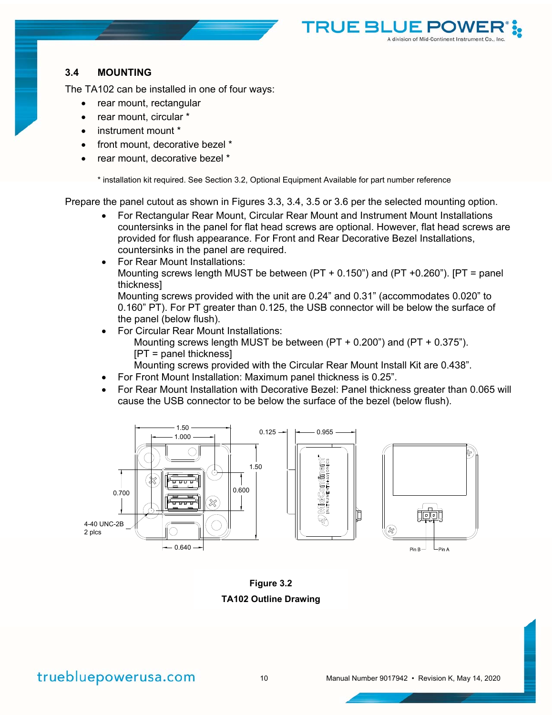

The TA102 can be installed in one of four ways:

- rear mount, rectangular
- rear mount, circular \*
- instrument mount \*
- front mount, decorative bezel \*
- rear mount, decorative bezel \*

\* installation kit required. See Section 3.2, Optional Equipment Available for part number reference

Prepare the panel cutout as shown in Figures 3.3, 3.4, 3.5 or 3.6 per the selected mounting option.

 For Rectangular Rear Mount, Circular Rear Mount and Instrument Mount Installations countersinks in the panel for flat head screws are optional. However, flat head screws are provided for flush appearance. For Front and Rear Decorative Bezel Installations, countersinks in the panel are required.

**TRUE BLUE P** 

A division of Mid-Continent Instrument Co.

• For Rear Mount Installations: Mounting screws length MUST be between (PT + 0.150") and (PT +0.260"). [PT = panel thickness]

Mounting screws provided with the unit are 0.24" and 0.31" (accommodates 0.020" to 0.160" PT). For PT greater than 0.125, the USB connector will be below the surface of the panel (below flush).

- For Circular Rear Mount Installations: Mounting screws length MUST be between (PT + 0.200") and (PT + 0.375"). [PT = panel thickness]
	- Mounting screws provided with the Circular Rear Mount Install Kit are 0.438".
- For Front Mount Installation: Maximum panel thickness is 0.25".
- For Rear Mount Installation with Decorative Bezel: Panel thickness greater than 0.065 will cause the USB connector to be below the surface of the bezel (below flush).



**Figure 3.2 TA102 Outline Drawing**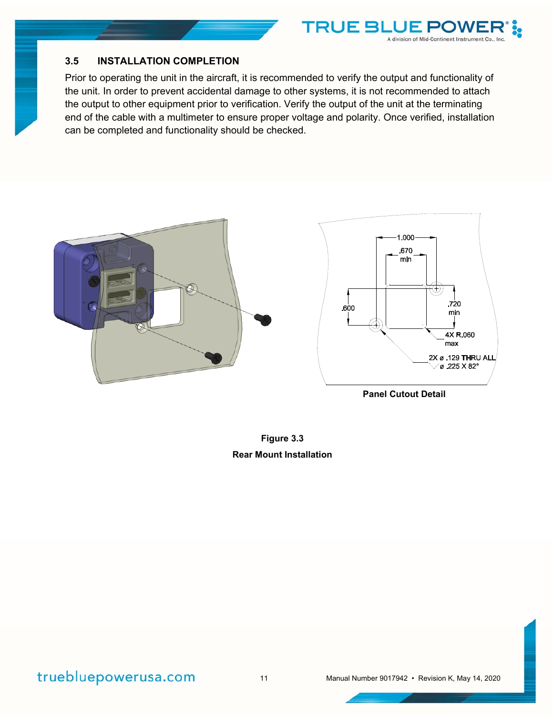

## **3.5 INSTALLATION COMPLETION**

Prior to operating the unit in the aircraft, it is recommended to verify the output and functionality of the unit. In order to prevent accidental damage to other systems, it is not recommended to attach the output to other equipment prior to verification. Verify the output of the unit at the terminating end of the cable with a multimeter to ensure proper voltage and polarity. Once verified, installation can be completed and functionality should be checked.

**TRUE BLL** 

JE P(

A division of Mid-Continent Instrument Co., Inc.



**Panel Cutout Detail** 

**Figure 3.3 Rear Mount Installation** 

truebluepowerusa.com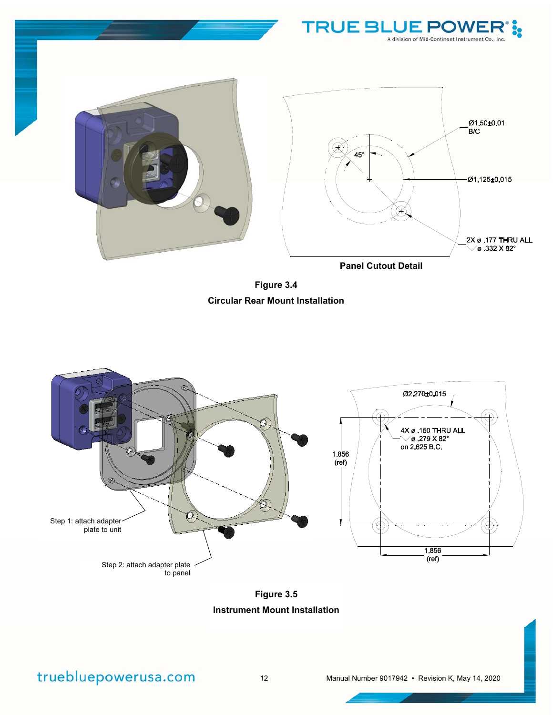

**Figure 3.4 Circular Rear Mount Installation** 



**Figure 3.5 Instrument Mount Installation**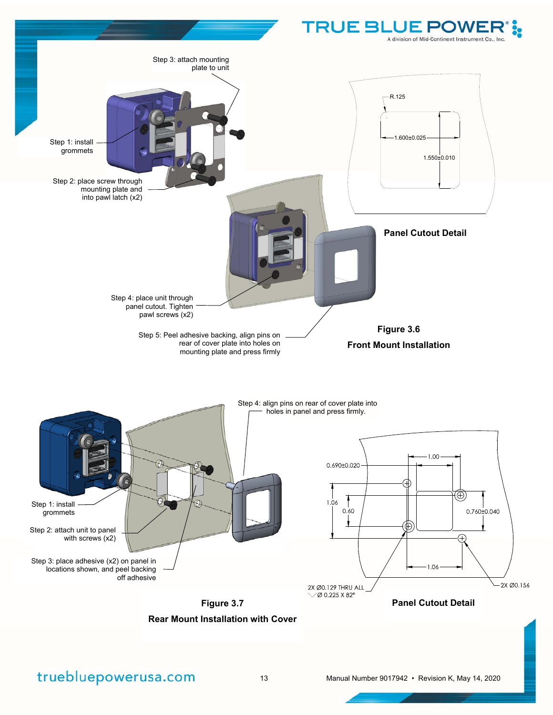

## truebluepowerusa.com

13 Manual Number 9017942 • Revision K, May 14, 2020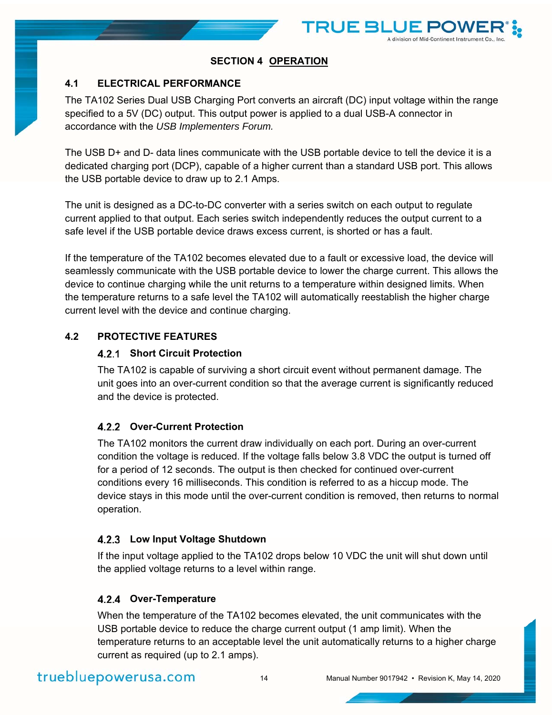

## **SECTION 4 OPERATION**

## **4.1 ELECTRICAL PERFORMANCE**

The TA102 Series Dual USB Charging Port converts an aircraft (DC) input voltage within the range specified to a 5V (DC) output. This output power is applied to a dual USB-A connector in accordance with the *USB Implementers Forum.*

The USB D+ and D- data lines communicate with the USB portable device to tell the device it is a dedicated charging port (DCP), capable of a higher current than a standard USB port. This allows the USB portable device to draw up to 2.1 Amps.

The unit is designed as a DC-to-DC converter with a series switch on each output to regulate current applied to that output. Each series switch independently reduces the output current to a safe level if the USB portable device draws excess current, is shorted or has a fault.

If the temperature of the TA102 becomes elevated due to a fault or excessive load, the device will seamlessly communicate with the USB portable device to lower the charge current. This allows the device to continue charging while the unit returns to a temperature within designed limits. When the temperature returns to a safe level the TA102 will automatically reestablish the higher charge current level with the device and continue charging.

## **4.2 PROTECTIVE FEATURES**

### **Short Circuit Protection**

The TA102 is capable of surviving a short circuit event without permanent damage. The unit goes into an over-current condition so that the average current is significantly reduced and the device is protected.

## **Over-Current Protection**

The TA102 monitors the current draw individually on each port. During an over-current condition the voltage is reduced. If the voltage falls below 3.8 VDC the output is turned off for a period of 12 seconds. The output is then checked for continued over-current conditions every 16 milliseconds. This condition is referred to as a hiccup mode. The device stays in this mode until the over-current condition is removed, then returns to normal operation.

#### **Low Input Voltage Shutdown**

If the input voltage applied to the TA102 drops below 10 VDC the unit will shut down until the applied voltage returns to a level within range.

#### **Over-Temperature**

When the temperature of the TA102 becomes elevated, the unit communicates with the USB portable device to reduce the charge current output (1 amp limit). When the temperature returns to an acceptable level the unit automatically returns to a higher charge current as required (up to 2.1 amps).

# truebluepowerusa.com

14 Manual Number 9017942 • Revision K, May 14, 2020